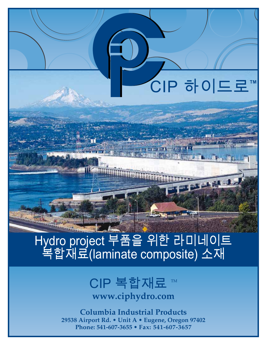# Hydro project 부품을 위한 라미네이트 복합재료(laminate composite) 소재

CIP 하이드로<sup>™</sup>

**PLEA** L

# CIP 복합재료 ™ **www.ciphydro.com**

**Columbia Industrial Products 29538 Airport Rd. • Unit A • Eugene, Oregon 97402 Phone: 541-607-3655 • Fax: 541-607-3657**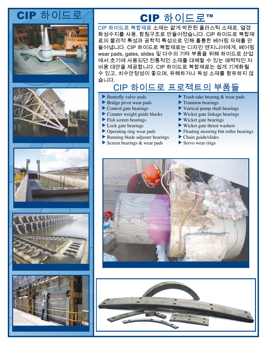## CIP 하이드로











## CIP 하이드로™

CIP 하이드로 복합재료 소재는 얇게 박판된 플라스틱 소재로, 열경 화성수지를 사용, 함침구조로 만들어졌습니다. CIP 하이드로 복합재 료의 물리적 특성과 공학적 특성으로 인해 훌륭한 베어링 자재를 만 들어냅니다. CIP 하이드로 복합재료는 디자인 엔지니어에게, 베어링 wear pads, gates, slides 및 다수의 기타 부품을 위해 하이드로 산업 에서 초기에 사용되던 전통적인 소재를 대체할 수 있는 매력적인 저 비용 대안을 제공합니다. CIP 하이드로 복합재료는 쉽게 기계화될 수 있고, 치수안정성이 좋으며, 유해하거나 독성 소재를 함유하지 않 습니다.

## CIP 하이드로 프로젝트의 부품들

- 
- ightharpoonup Bridge pivot wear pads **u** Trunnion bearings
- 
- ight Counter weight guide blocks Wicket gate linkage bearings
- 
- 
- 
- $\blacktriangleright$  Running blade adjuster bearings  $\blacktriangleright$  Chain guide/slides
- Screen bearings  $\&$  wear pads Servo wear rings
- ▶ Butterfly valve seals Trash rake bearing & wear pads
	-
- ightharpoontrol gate bearings vertical pump shaft bearings
	-
- ightharpoonup Fish screen bearings wicket gate bearings
- Lock gate bearings Wicket gate thrust washers
- ▶ Operating ring wear pads <br>• Floating mooring bitt roller bearings
	-
	-



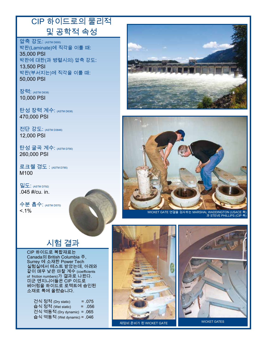## CIP 하이드로의 물리적 및 공학적 속성

압축 강도: (ASTM D695) 박판(Laminate)에 직각을 이룰 때: 35,000 PSI 박판에 대한(과 병렬시의) 압축 강도: 13,500 PSI 박판(부서지는)에 직각을 이룰 때: 50,000 PSI

장력: (ASTM D638) 10,000 PSI

탄성 장력 계수: (ASTM D638) 470,000 PSI

전단 강도: (ASTM D3846) 12,000 PSI

탄성 굴곡 계수: (ASTM D790) 260,000 PSI

로크웰 경도 : (ASTM D785) M100

밀도: (ASTM D792) .045 #/cu. in.

수분 흡수: (ASTM D570)  $< 1\%$ 





Wicket gate 연결을 검사하는 Marshal Waddington (USACE 측) 과 Steve Phillips (CIP 측)

#### 시험 결과

CIP 하이드로 복합재료는 Canada의 British Columbia 주, Surrey 에 소재한 Power Tech 실험실에서 테스트 받았는데, 아래와 같이 매우 낮은 마찰 계수 (coefficients of friction numbers)가 결과로 나왔다. 미군 엔지니어들은 CIP 이드로 베어링을 하이드로 로젝트에 승인된 소재로 록에 올렸습니다.

건식 정적 (Dry static) = .075<br>습식 정적 (Wet static) = .056 습식 정적 (Wet static) 건식 역동적 (Dry dynamic) = .065 습식 역동적 (Wet dynamic) = .046



Wicket gates 재정비 준비가 된 wicket gate